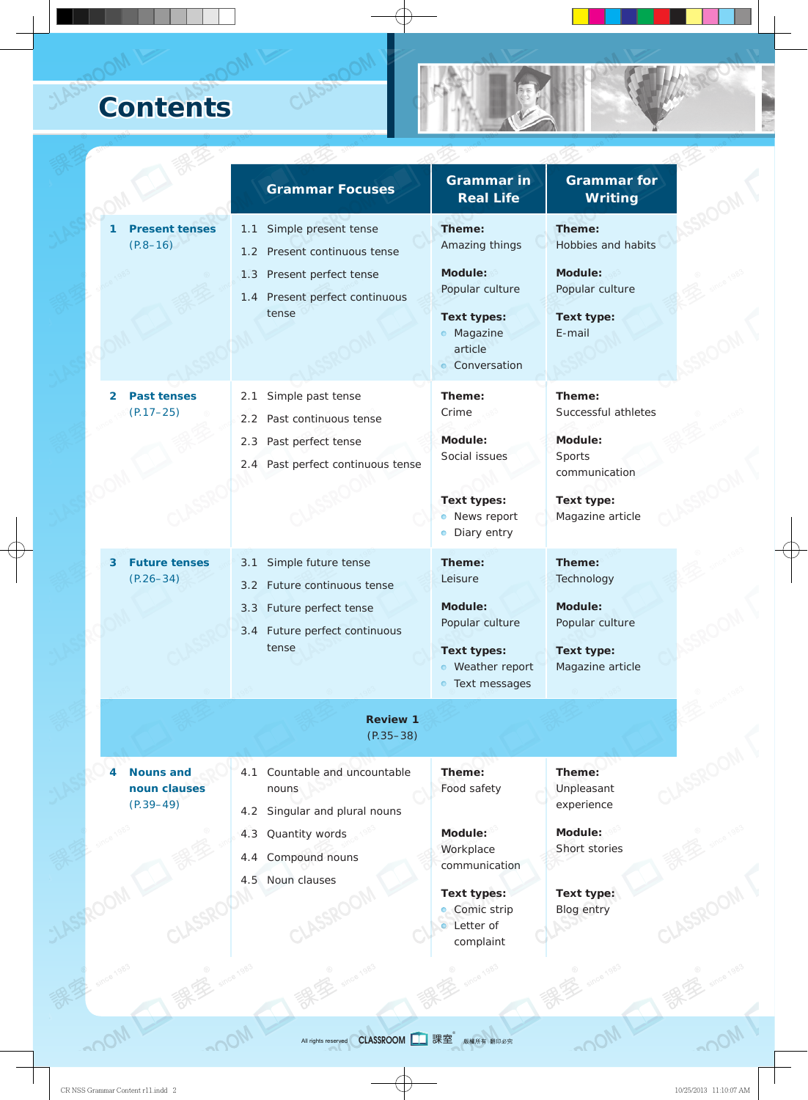## **Contents**

CLASS

|                                                        | <b>Grammar Focuses</b>                                                                             | <b>Grammar in</b><br><b>Real Life</b>                                                   | <b>Grammar</b> for<br><b>Writing</b>              |  |
|--------------------------------------------------------|----------------------------------------------------------------------------------------------------|-----------------------------------------------------------------------------------------|---------------------------------------------------|--|
| <b>Present tenses</b><br>$(P.8 - 16)$                  | Simple present tense<br>1.1<br>1.2 Present continuous tense                                        | Theme:<br>Amazing things                                                                | Theme:<br>Hobbies and habits                      |  |
|                                                        | 1.3 Present perfect tense<br>1.4 Present perfect continuous                                        | Module:<br>Popular culture                                                              | <b>Module:</b><br>Popular culture                 |  |
|                                                        | tense                                                                                              | <b>Text types:</b><br>· Magazine<br>article<br>• Conversation                           | Text type:<br>E-mail                              |  |
| <b>Past tenses</b><br>2<br>$(P.17 - 25)$               | Simple past tense<br>2.1<br>2.2 Past continuous tense                                              | Theme:<br>Crime                                                                         | Theme:<br>Successful athletes                     |  |
|                                                        | Past perfect tense<br>2.3<br>2.4 Past perfect continuous tense                                     | Module:<br>Social issues<br><b>Text types:</b>                                          | Module:<br>Sports<br>communication<br>Text type:  |  |
|                                                        |                                                                                                    | News report<br>Diary entry                                                              | Magazine article                                  |  |
| <b>Future tenses</b><br>3<br>$(P.26 - 34)$             | Simple future tense<br>3.1<br>Future continuous tense<br>$3.2^{\circ}$<br>3.3 Future perfect tense | Theme:<br>Leisure<br>Module:                                                            | Theme:<br>Technology<br>Module:                   |  |
|                                                        | 3.4 Future perfect continuous<br>tense                                                             | Popular culture<br><b>Text types:</b><br>Weather report<br>$\bullet$<br>• Text messages | Popular culture<br>Text type:<br>Magazine article |  |
|                                                        | <b>Review 1</b><br>$(P.35 - 38)$                                                                   |                                                                                         |                                                   |  |
| <b>Nouns and</b><br>4<br>noun clauses<br>$(P.39 - 49)$ | Countable and uncountable<br>4.1<br>nouns<br>Singular and plural nouns<br>4.2                      | Theme:<br>Food safety                                                                   | Theme:<br>Unpleasant<br>experience                |  |
|                                                        | Quantity words<br>4.3<br>Compound nouns<br>4.4<br>4.5 Noun clauses                                 | Module:<br>Workplace<br>communication                                                   | Module:<br>Short stories                          |  |
|                                                        |                                                                                                    | <b>Text types:</b><br>Comic strip<br>$\bullet$<br>• Letter of<br>complaint              | Text type:<br><b>Blog entry</b>                   |  |

 $\text{CylM}^{\text{CylM}}$  all rights reserved  $\text{CLASSRoom}$  on order that  $\text{CIASSROOM}$  with  $\text{CIASSROOM}$  with  $\text{CIASSROOM}$  with  $\text{CIASSROOM}$  with  $\text{CIASSROOM}$  with  $\text{CIASSROOM}$  with  $\text{CIASSROOM}$  with  $\text{CIASSROOM}$  with  $\text{CIASSROOM}$  wi **CLASSROOM** 日 課室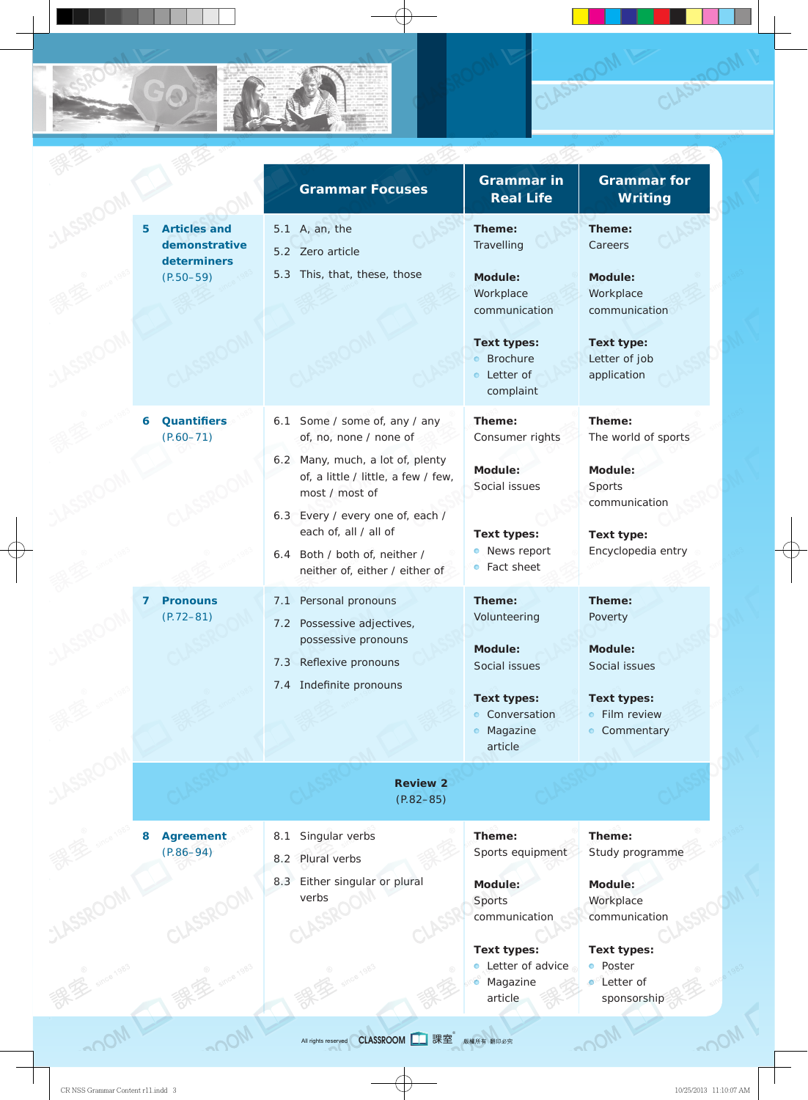|                                                          | <b>Grammar Focuses</b>                                                                    | <b>Grammar in</b><br><b>Real Life</b>                               | <b>Grammar</b> for<br><b>Writing</b>       |
|----------------------------------------------------------|-------------------------------------------------------------------------------------------|---------------------------------------------------------------------|--------------------------------------------|
| <b>Articles and</b><br>5<br>demonstrative<br>determiners | A, an, the<br>5.1<br>5.2 Zero article                                                     | Theme:<br>Travelling                                                | Theme:<br>Careers                          |
| $(P.50 - 59)$                                            | This, that, these, those<br>5.3                                                           | <b>Module:</b><br>Workplace<br>communication                        | Module:<br>Workplace<br>communication      |
|                                                          |                                                                                           | <b>Text types:</b><br><b>•</b> Brochure<br>• Letter of<br>complaint | Text type:<br>Letter of job<br>application |
| <b>Quantifiers</b><br>6<br>$(P.60 - 71)$                 | Some / some of, any / any<br>6.1<br>of, no, none / none of                                | Theme:<br>Consumer rights                                           | Theme:<br>The world of sports              |
|                                                          | 6.2 Many, much, a lot of, plenty<br>of, a little / little, a few / few,<br>most / most of | Module:<br>Social issues                                            | Module:<br>Sports<br>communication         |
|                                                          | 6.3 Every / every one of, each /<br>each of, all / all of                                 | <b>Text types:</b>                                                  | Text type:                                 |
|                                                          | 6.4 Both / both of, neither /<br>neither of, either / either of                           | • News report<br>Fact sheet<br>$\bullet$                            | Encyclopedia entry                         |
| <b>Pronouns</b><br>7<br>$(P.72 - 81)$                    | Personal pronouns<br>7.1<br>Possessive adjectives,<br>7.2                                 | Theme:<br>Volunteering                                              | Theme:<br>Poverty                          |
|                                                          | possessive pronouns<br>7.3 Reflexive pronouns                                             | Module:<br>Social issues                                            | Module:<br>Social issues                   |
|                                                          | 7.4 Indefinite pronouns                                                                   | <b>Text types:</b><br>• Conversation                                | <b>Text types:</b><br>• Film review        |
|                                                          |                                                                                           | · Magazine<br>article                                               | • Commentary                               |
|                                                          | <b>Review 2</b><br>$(P.82 - 85)$                                                          |                                                                     |                                            |
| <b>Agreement</b><br>8<br>$(P.86 - 94)$                   | Singular verbs<br>8.1<br>8.2 Plural verbs                                                 | Theme:<br>Sports equipment                                          | Theme:<br>Study programme                  |
|                                                          | Either singular or plural<br>8.3                                                          | Module:                                                             |                                            |
|                                                          | verbs                                                                                     | Sports                                                              | Module:<br>Workplace                       |
|                                                          |                                                                                           | communication                                                       | communication                              |
|                                                          |                                                                                           | <b>Text types:</b>                                                  | <b>Text types:</b>                         |
|                                                          |                                                                                           | Letter of advice<br>Magazine<br>۰                                   | Poster<br>$\bullet$<br><b>O</b> Letter of  |
|                                                          |                                                                                           | article                                                             | sponsorship                                |

CLASSR

CLASSR

GO R.C

绿

K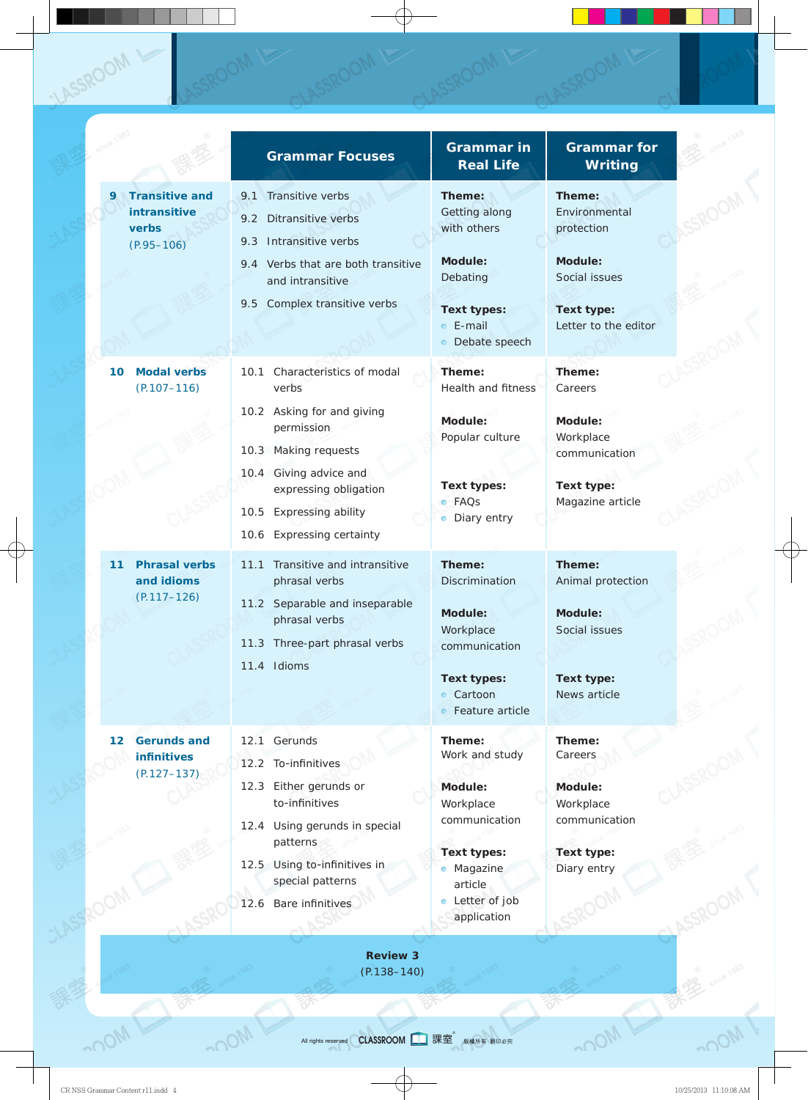|    |                                                                  | <b>Grammar Focuses</b>                                                                                  | <b>Grammar in</b><br><b>Real Life</b>                     | <b>Grammar</b> for<br><b>Writing</b>  |
|----|------------------------------------------------------------------|---------------------------------------------------------------------------------------------------------|-----------------------------------------------------------|---------------------------------------|
| 9  | <b>Transitive and</b><br>intransitive<br>verbs<br>$(P.95 - 106)$ | Transitive verbs<br>9.1<br>Ditransitive verbs<br>9.2<br>Intransitive verbs<br>9.3                       | Theme:<br>Getting along<br>with others                    | Theme:<br>Environmental<br>protection |
|    |                                                                  | 9.4 Verbs that are both transitive<br>and intransitive                                                  | Module:<br>Debating                                       | Module:<br>Social issues              |
|    |                                                                  | Complex transitive verbs<br>9.5                                                                         | <b>Text types:</b><br>$\bullet$ E-mail<br>• Debate speech | Text type:<br>Letter to the editor    |
| 10 | <b>Modal verbs</b><br>$(P.107 - 116)$                            | Characteristics of modal<br>10.1<br>verbs                                                               | Theme:<br>Health and fitness                              | Theme:<br>Careers                     |
|    |                                                                  | 10.2 Asking for and giving<br>permission<br>Making requests<br>10.3                                     | Module:<br>Popular culture                                | Module:<br>Workplace<br>communication |
|    |                                                                  | 10.4 Giving advice and<br>expressing obligation<br>10.5 Expressing ability<br>10.6 Expressing certainty | <b>Text types:</b><br>· FAQs<br>• Diary entry             | Text type:<br>Magazine article        |
| 11 | <b>Phrasal verbs</b><br>and idioms                               | 11.1 Transitive and intransitive<br>phrasal verbs                                                       | Theme:<br>Discrimination                                  | Theme:<br>Animal protection           |
|    | $(P.117 - 126)$                                                  | 11.2 Separable and inseparable<br>phrasal verbs<br>11.3 Three-part phrasal verbs                        | Module:<br>Workplace<br>communication                     | Module:<br>Social issues              |
|    |                                                                  | 11.4 Idioms                                                                                             | <b>Text types:</b><br>• Cartoon<br>• Feature article      | Text type:<br>News article            |
| 12 | <b>Gerunds and</b><br><b>infinitives</b>                         | Gerunds<br>12.1                                                                                         | Theme:<br>Work and study                                  | Theme:<br>Careers                     |
|    | $(P.127 - 137)$                                                  | 12.2 To-infinitives<br>Either gerunds or<br>12.3<br>to-infinitives                                      | Module:<br>Workplace                                      | Module:<br>Workplace                  |
|    |                                                                  | 12.4 Using gerunds in special<br>patterns                                                               | communication<br><b>Text types:</b>                       | communication<br>Text type:           |
|    |                                                                  | Using to-infinitives in<br>12.5<br>special patterns<br>Bare infinitives<br>12.6                         | • Magazine<br>article<br>• Letter of job                  | Diary entry                           |
|    |                                                                  |                                                                                                         | application                                               |                                       |

 $\text{CylM}^{\text{CylM}}$  all rights reserved  $\text{CLASSRoom}$  on order that  $\text{CIASSROOM}$  with  $\text{CIASSROOM}$  with  $\text{CIASSROOM}$  with  $\text{CIASSROOM}$  with  $\text{CIASSROOM}$  with  $\text{CIASSROOM}$  with  $\text{CIASSROOM}$  with  $\text{CIASSROOM}$  with  $\text{CIASSROOM}$  wi All rights reserved **CLASSROOM** 課室 版權所有 翻印必究

 **पुरु** 

(P.138–140)

X

工業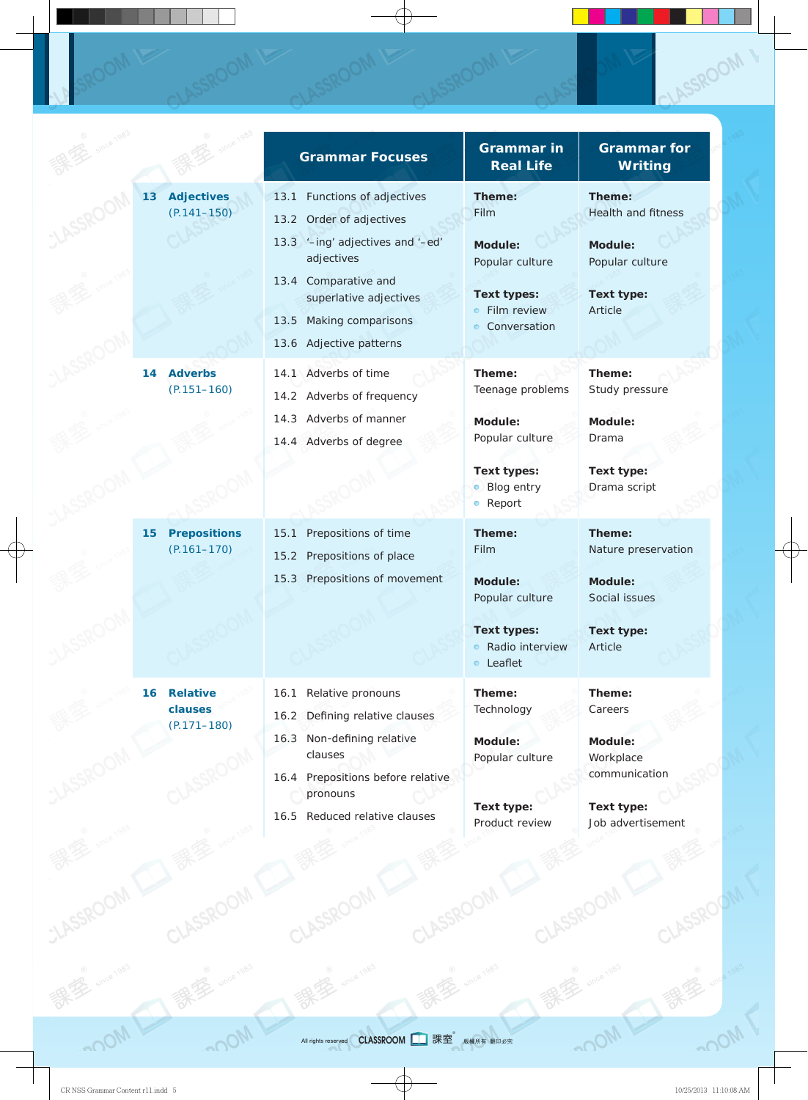|                 |                                               | <b>Grammar Focuses</b>                                                                                                                                                                                                | <b>Grammar in</b><br><b>Real Life</b>                                                                      | <b>Grammar</b> for<br><b>Writing</b>                                                          |
|-----------------|-----------------------------------------------|-----------------------------------------------------------------------------------------------------------------------------------------------------------------------------------------------------------------------|------------------------------------------------------------------------------------------------------------|-----------------------------------------------------------------------------------------------|
| 13              | <b>Adjectives</b><br>$(P.141 - 150)$          | 13.1 Functions of adjectives<br>13.2 Order of adjectives<br>13.3 '-ing' adjectives and '-ed'<br>adjectives<br>13.4 Comparative and<br>superlative adjectives<br>Making comparisons<br>13.5<br>13.6 Adjective patterns | Theme:<br>Film<br>Module:<br>Popular culture<br><b>Text types:</b><br>• Film review<br>• Conversation      | Theme:<br>Health and fitness<br>Module:<br>Popular culture<br>Text type:<br>Article           |
| 14              | <b>Adverbs</b><br>$(P.151 - 160)$             | 14.1 Adverbs of time<br>14.2 Adverbs of frequency<br>14.3 Adverbs of manner<br>14.4 Adverbs of degree                                                                                                                 | Theme:<br>Teenage problems<br>Module:<br>Popular culture<br>Text types:<br>• Blog entry<br>• Report        | Theme:<br>Study pressure<br>Module:<br>Drama<br>Text type:<br>Drama script                    |
| 15 <sub>1</sub> | <b>Prepositions</b><br>$(P.161 - 170)$        | Prepositions of time<br>15.1<br>15.2 Prepositions of place<br>15.3 Prepositions of movement                                                                                                                           | Theme:<br>Film<br>Module:<br>Popular culture<br><b>Text types:</b><br>Radio interview<br>$\bullet$ Leaflet | Theme:<br>Nature preservation<br>Module:<br>Social issues<br>Text type:<br>Article            |
| 16              | <b>Relative</b><br>clauses<br>$(P.171 - 180)$ | Relative pronouns<br>16.1<br>16.2 Defining relative clauses<br>Non-defining relative<br>16.3<br>clauses<br>16.4 Prepositions before relative<br>pronouns<br>16.5 Reduced relative clauses                             | Theme:<br>Technology<br>Module:<br>Popular culture<br>Text type:<br>Product review                         | Theme:<br>Careers<br>Module:<br>Workplace<br>communication<br>Text type:<br>Job advertisement |

CLASSROOM

CLASSROOM

J<sub>an</sub>

SROOM

保安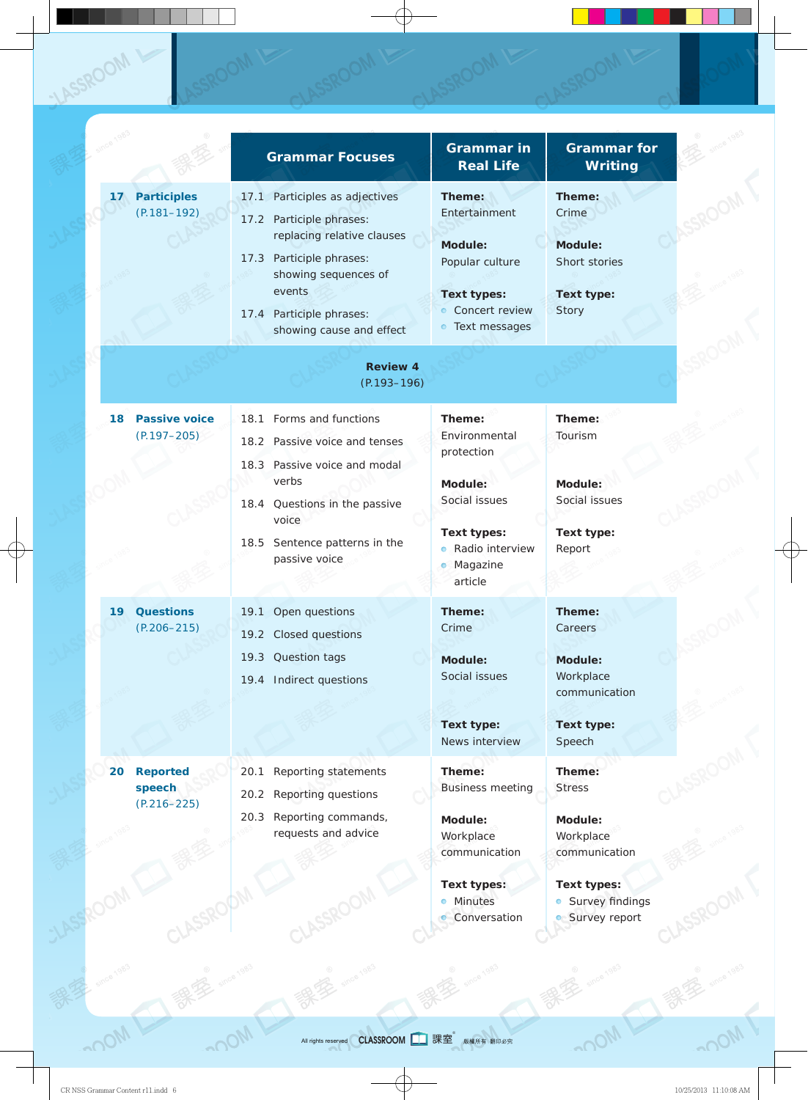|                 |                                              | <b>Grammar Focuses</b>                                                                                                                                    | <b>Grammar in</b><br><b>Real Life</b>                                       | <b>Grammar</b> for<br>Writing                             |
|-----------------|----------------------------------------------|-----------------------------------------------------------------------------------------------------------------------------------------------------------|-----------------------------------------------------------------------------|-----------------------------------------------------------|
| 17 <sub>2</sub> | <b>Participles</b><br>$(P.181 - 192)$        | 17.1 Participles as adjectives<br>17.2 Participle phrases:<br>replacing relative clauses<br>Participle phrases:<br>17.3<br>showing sequences of<br>events | Theme:<br>Entertainment<br>Module:<br>Popular culture<br><b>Text types:</b> | Theme:<br>Crime<br>Module:<br>Short stories<br>Text type: |
|                 |                                              | 17.4 Participle phrases:<br>showing cause and effect                                                                                                      | • Concert review<br>• Text messages                                         | Story                                                     |
|                 |                                              | <b>Review 4</b><br>$(P.193 - 196)$                                                                                                                        |                                                                             |                                                           |
| 18              | <b>Passive voice</b><br>$(P.197 - 205)$      | 18.1 Forms and functions<br>18.2 Passive voice and tenses                                                                                                 | Theme:<br>Environmental<br>protection                                       | Theme:<br>Tourism                                         |
|                 |                                              | 18.3 Passive voice and modal<br>verbs<br>18.4 Questions in the passive<br>voice                                                                           | Module:<br>Social issues                                                    | Module:<br>Social issues                                  |
|                 |                                              | 18.5 Sentence patterns in the<br>passive voice                                                                                                            | Text types:<br>· Radio interview<br>Magazine<br>۰<br>article                | Text type:<br>Report                                      |
| 19              | <b>Questions</b><br>$(P.206 - 215)$          | Open questions<br>19.1<br>19.2 Closed questions                                                                                                           | Theme:<br>Crime                                                             | Theme:<br>Careers                                         |
|                 |                                              | Question tags<br>19.3<br>Indirect questions<br>19.4                                                                                                       | Module:<br>Social issues                                                    | Module:<br>Workplace<br>communication                     |
|                 |                                              |                                                                                                                                                           | Text type:<br>News interview                                                | Text type:<br>Speech                                      |
| 20              | <b>Reported</b><br>speech<br>$(P.216 - 225)$ | Reporting statements<br>20.1<br>Reporting questions<br>20.2                                                                                               | Theme:<br><b>Business meeting</b>                                           | Theme:<br><b>Stress</b>                                   |
|                 |                                              | Reporting commands,<br>20.3<br>requests and advice                                                                                                        | Module:<br>Workplace<br>communication                                       | Module:<br>Workplace<br>communication                     |
|                 |                                              |                                                                                                                                                           | <b>Text types:</b><br><b>Minutes</b><br>$\bullet$<br>• Conversation         | Text types:<br>• Survey findings<br><b>Survey report</b>  |

LASSROOM

 $\text{CylM}^{\text{CylM}}$  all rights reserved  $\text{CLASSRoom}$  on order that  $\text{CIASSROOM}$  with  $\text{CIASSROOM}$  with  $\text{CIASSROOM}$  with  $\text{CIASSROOM}$  with  $\text{CIASSROOM}$  with  $\text{CIASSROOM}$  with  $\text{CIASSROOM}$  with  $\text{CIASSROOM}$  with  $\text{CIASSROOM}$  wi All rights reserved **CLASSROOM** 票室 版權所有 翻印必究

OS